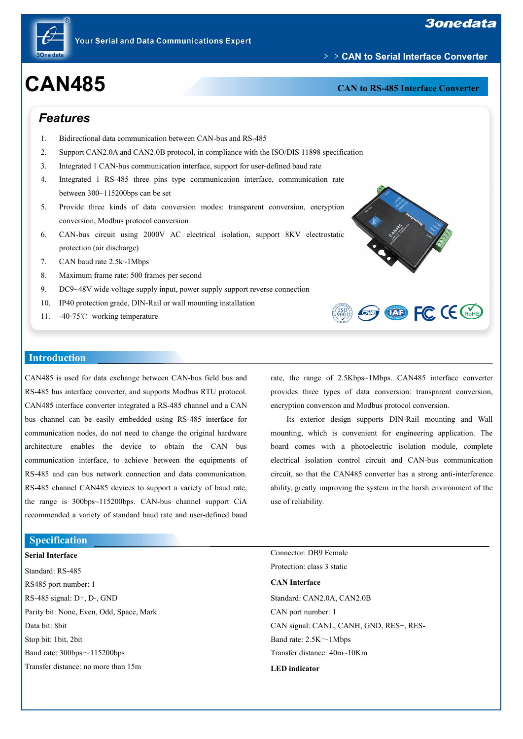

# **CAN485 CAN485 CAN CAN CAN CAN CAN CAN CAN CAN CAN CAN CAN CAN CAN**

﹥﹥**CAN to Serial Interface Converter**

## *Features*

- 1. Bidirectional data communication between CAN-bus and RS-485
- 2. Support CAN2.0A and CAN2.0B protocol, in compliance with the ISO/DIS 11898 specification
- 3. Integrated 1 CAN-bus communication interface, support for user-defined baud rate
- 4. Integrated 1 RS-485 three pins type communication interface, communication rate between 300~115200bps can be set
- 5. Provide three kinds of data conversion modes: transparent conversion, encryption conversion, Modbus protocol conversion
- 6. CAN-bus circuit using 2000V AC electrical isolation, support 8KV electrostatic protection (air discharge)
- 7. CAN baud rate 2.5k~1Mbps
- 8. Maximum frame rate: 500 frames per second
- 9. DC9~48V wide voltage supply input, power supply support reverse connection
- 10. IP40 protection grade, DIN-Rail or wall mounting installation
- 11. -40-75℃ working temperature



**Example FC CE CROHS** 

#### **Introduction**

CAN485 is used for data exchange between CAN-bus field bus and RS-485 bus interface converter, and supports Modbus RTU protocol. CAN485 interface converter integrated a RS-485 channel and a CAN bus channel can be easily embedded using RS-485 interface for communication nodes, do not need to change the original hardware architecture enables the device to obtain the CAN bus communication interface, to achieve between the equipments of RS-485 and can bus network connection and data communication. RS-485 channel CAN485 devices to support a variety of baud rate, the range is 300bps~115200bps. CAN-bus channel support CiA recommended a variety of standard baud rate and user-defined baud

rate, the range of 2.5Kbps~1Mbps. CAN485 interface converter provides three types of data conversion: transparent conversion, encryption conversion and Modbus protocol conversion.

Its exterior design supports DIN-Rail mounting and Wall mounting, which is convenient for engineering application. The board comes with a photoelectric isolation module, complete electrical isolation control circuit and CAN-bus communication circuit, so that the CAN485 converter has a strong anti-interference ability, greatly improving the system in the harsh environment of the use of reliability.

#### **Specification**

#### **Serial Interface**

Standard: RS-485 RS485 port number: 1 RS-485 signal: D+,D-, GND Parity bit: None, Even, Odd, Space, Mark Data bit: 8bit Stop bit: 1bit, 2bit Band rate:  $300bps \sim 115200bps$ Transfer distance: no more than 15m

Protection: class 3 static **CAN Interface** Standard: CAN2.0A, CAN2.0B CAN port number: 1 CAN signal: CANL, CANH, GND, RES+, RES-Band rate: 2.5K~1Mbps Transfer distance: 40m~10Km **LED indicator**

Connector: DB9 Female